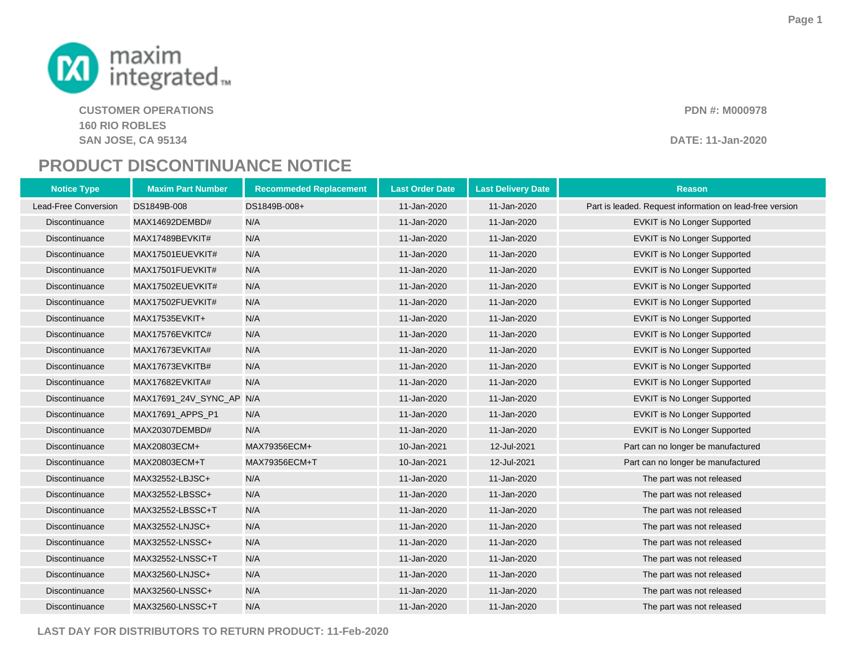

**CUSTOMER OPERATIONS PDN #: M000978 160 RIO ROBLESSAN JOSE, CA 95134**

## **DATE: 11-Jan-2020**

## **PRODUCT DISCONTINUANCE NOTICE**

 **Maxim Part Number Recommeded Replacement Last Order Date Last Delivery Date ReasonNotice Type**Lead-Free Conversion DS1849B-008 DS1849B-008+ 11-Jan-2020 11-Jan-2020 Part is leaded. Request information on lead-free version **Discontinuance** MAX14692DEMBD# N/A 11-Jan-2020 11-Jan-2020 EVKIT is No Longer Supported **Discontinuance** MAX17489BEVKIT# N/A 11-Jan-2020 11-Jan-2020 EVKIT is No Longer Supported **Discontinuance** MAX17501EUEVKIT# N/A 11-Jan-2020 11-Jan-2020 EVKIT is No Longer Supported **Discontinuance**  MAX17501FUEVKIT# N/A 11-Jan-2020 11-Jan-2020 EVKIT is No Longer Supported **Discontinuance**  MAX17502EUEVKIT# N/A 11-Jan-2020 11-Jan-2020 EVKIT is No Longer Supported **Discontinuance**  MAX17502FUEVKIT# N/A 11-Jan-2020 11-Jan-2020 EVKIT is No Longer Supported **Discontinuance**  MAX17535EVKIT+ N/A 11-Jan-2020 11-Jan-2020 EVKIT is No Longer Supported **Discontinuance**  MAX17576EVKITC# N/A 11-Jan-2020 11-Jan-2020 EVKIT is No Longer Supported **Discontinuance**  MAX17673EVKITA# N/A 11-Jan-2020 11-Jan-2020 EVKIT is No Longer Supported **Discontinuance** MAX17673EVKITB# N/A 11-Jan-2020 11-Jan-2020 EVKIT is No Longer Supported **Discontinuance** MAX17682EVKITA# N/A 11-Jan-2020 11-Jan-2020 EVKIT is No Longer Supported **Discontinuance**  MAX17691\_24V\_SYNC\_AP N/A 11-Jan-2020 11-Jan-2020 EVKIT is No Longer Supported **Discontinuance** MAX17691 APPS P1 N/A 11-Jan-2020 11-Jan-2020 EVKIT is No Longer Supported **Discontinuance** MAX20307DEMBD# N/A 11-Jan-2020 11-Jan-2020 EVKIT is No Longer Supported **Discontinuance**  MAX20803ECM+ MAX79356ECM+ 10-Jan-2021 12-Jul-2021 Part can no longer be manufactured **Discontinuance**  MAX20803ECM+TMAX79356ECM+T 10-Jan-2021 12-Jul-2021 12-Jul-2021 Part can no longer be manufactured **Discontinuance**  MAX32552-LBJSC+ N/A 11-Jan-2020 11-Jan-2020 The part was not released **Discontinuance**  MAX32552-LBSSC+ N/A 11-Jan-2020 11-Jan-2020 The part was not released **Discontinuance**  MAX32552-LBSSC+T N/A 11-Jan-2020 11-Jan-2020 The part was not released **Discontinuance**  MAX32552-LNJSC+ N/A 11-Jan-2020 11-Jan-2020 The part was not released **Discontinuance**  MAX32552-LNSSC+ N/A 11-Jan-2020 11-Jan-2020 The part was not released **Discontinuance**  MAX32552-LNSSC+T N/A 11-Jan-2020 11-Jan-2020 The part was not released **Discontinuance**  MAX32560-LNJSC+ N/A 11-Jan-2020 11-Jan-2020 The part was not released **Discontinuance**  MAX32560-LNSSC+ N/A 11-Jan-2020 11-Jan-2020 The part was not released **Discontinuance**  MAX32560-LNSSC+T N/A11-Jan-2020 11-Jan-2020 The part was not released

**LAST DAY FOR DISTRIBUTORS TO RETURN PRODUCT: 11-Feb-2020**